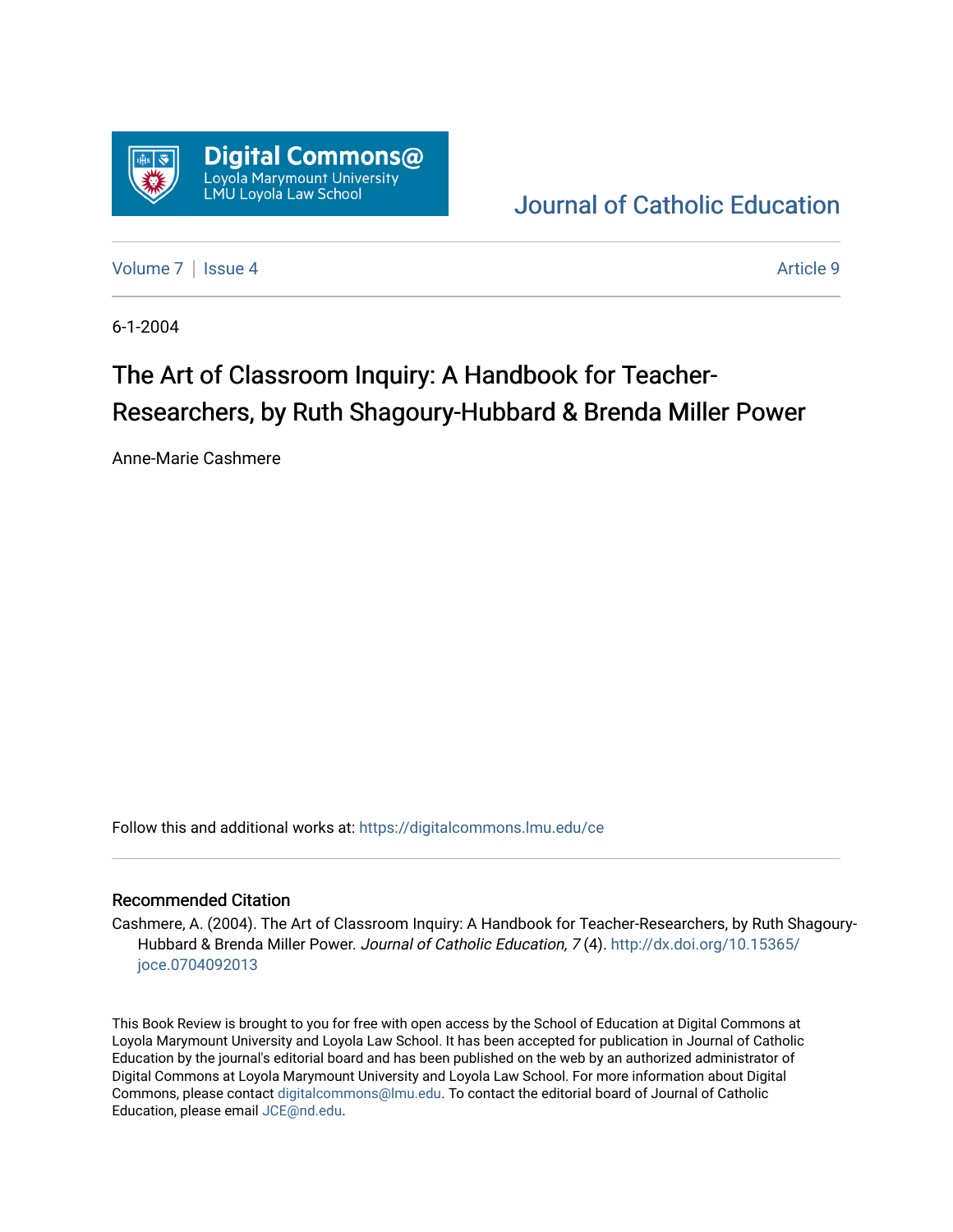

## [Journal of Catholic Education](https://digitalcommons.lmu.edu/ce)

[Volume 7](https://digitalcommons.lmu.edu/ce/vol7) | [Issue 4](https://digitalcommons.lmu.edu/ce/vol7/iss4) Article 9

6-1-2004

# The Art of Classroom Inquiry: A Handbook for Teacher-Researchers, by Ruth Shagoury-Hubbard & Brenda Miller Power

Anne-Marie Cashmere

Follow this and additional works at: [https://digitalcommons.lmu.edu/ce](https://digitalcommons.lmu.edu/ce?utm_source=digitalcommons.lmu.edu%2Fce%2Fvol7%2Fiss4%2F9&utm_medium=PDF&utm_campaign=PDFCoverPages)

#### Recommended Citation

Cashmere, A. (2004). The Art of Classroom Inquiry: A Handbook for Teacher-Researchers, by Ruth ShagouryHubbard & Brenda Miller Power. Journal of Catholic Education, 7(4). [http://dx.doi.org/10.15365/](http://dx.doi.org/10.15365/joce.0704092013) [joce.0704092013](http://dx.doi.org/10.15365/joce.0704092013) 

This Book Review is brought to you for free with open access by the School of Education at Digital Commons at Loyola Marymount University and Loyola Law School. It has been accepted for publication in Journal of Catholic Education by the journal's editorial board and has been published on the web by an authorized administrator of Digital Commons at Loyola Marymount University and Loyola Law School. For more information about Digital Commons, please contact [digitalcommons@lmu.edu.](mailto:digitalcommons@lmu.edu) To contact the editorial board of Journal of Catholic Education, please email [JCE@nd.edu.](mailto:JCE@nd.edu)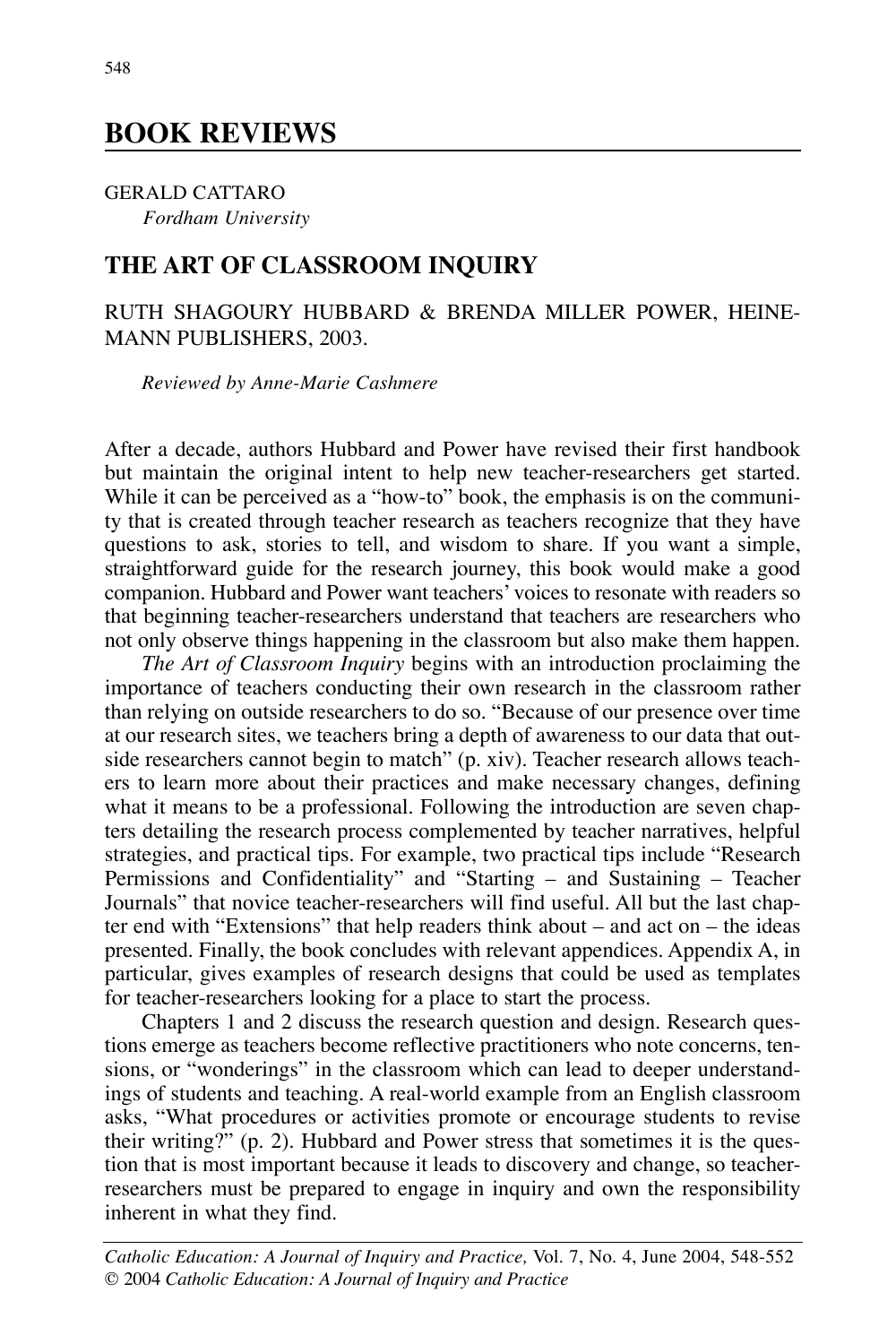## **BOOK REVIEWS**

#### GERALD CATTARO *Fordham University*

#### **THE ART OF CLASSROOM INQUIRY**

#### RUTH SHAGOURY HUBBARD & BRENDA MILLER POWER, HEINE-MANN PUBLISHERS, 2003.

*Reviewed by Anne-Marie Cashmere*

After a decade, authors Hubbard and Power have revised their first handbook but maintain the original intent to help new teacher-researchers get started. While it can be perceived as a "how-to" book, the emphasis is on the community that is created through teacher research as teachers recognize that they have questions to ask, stories to tell, and wisdom to share. If you want a simple, straightforward guide for the research journey, this book would make a good companion. Hubbard and Power want teachers' voices to resonate with readers so that beginning teacher-researchers understand that teachers are researchers who not only observe things happening in the classroom but also make them happen.

*The Art of Classroom Inquiry* begins with an introduction proclaiming the importance of teachers conducting their own research in the classroom rather than relying on outside researchers to do so. "Because of our presence over time at our research sites, we teachers bring a depth of awareness to our data that outside researchers cannot begin to match" (p. xiv). Teacher research allows teachers to learn more about their practices and make necessary changes, defining what it means to be a professional. Following the introduction are seven chapters detailing the research process complemented by teacher narratives, helpful strategies, and practical tips. For example, two practical tips include "Research Permissions and Confidentiality" and "Starting – and Sustaining – Teacher Journals" that novice teacher-researchers will find useful. All but the last chapter end with "Extensions" that help readers think about – and act on – the ideas presented. Finally, the book concludes with relevant appendices. Appendix A, in particular, gives examples of research designs that could be used as templates for teacher-researchers looking for a place to start the process.

Chapters 1 and 2 discuss the research question and design. Research questions emerge as teachers become reflective practitioners who note concerns, tensions, or "wonderings" in the classroom which can lead to deeper understandings of students and teaching. A real-world example from an English classroom asks, "What procedures or activities promote or encourage students to revise their writing?" (p. 2). Hubbard and Power stress that sometimes it is the question that is most important because it leads to discovery and change, so teacherresearchers must be prepared to engage in inquiry and own the responsibility inherent in what they find.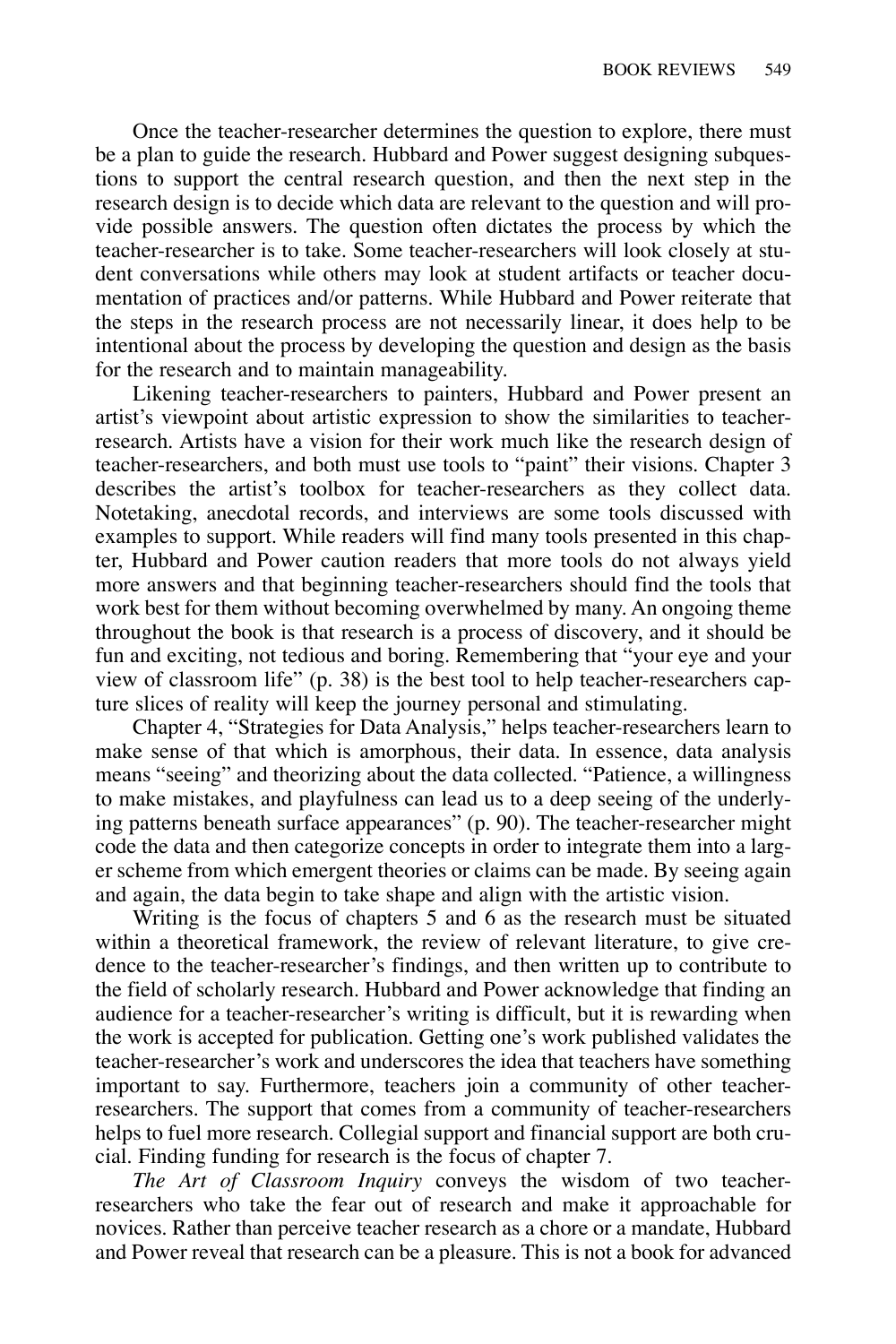Once the teacher-researcher determines the question to explore, there must be a plan to guide the research. Hubbard and Power suggest designing subquestions to support the central research question, and then the next step in the research design is to decide which data are relevant to the question and will provide possible answers. The question often dictates the process by which the teacher-researcher is to take. Some teacher-researchers will look closely at student conversations while others may look at student artifacts or teacher documentation of practices and/or patterns. While Hubbard and Power reiterate that the steps in the research process are not necessarily linear, it does help to be intentional about the process by developing the question and design as the basis for the research and to maintain manageability.

Likening teacher-researchers to painters, Hubbard and Power present an artist's viewpoint about artistic expression to show the similarities to teacherresearch. Artists have a vision for their work much like the research design of teacher-researchers, and both must use tools to "paint" their visions. Chapter 3 describes the artist's toolbox for teacher-researchers as they collect data. Notetaking, anecdotal records, and interviews are some tools discussed with examples to support. While readers will find many tools presented in this chapter, Hubbard and Power caution readers that more tools do not always yield more answers and that beginning teacher-researchers should find the tools that work best for them without becoming overwhelmed by many. An ongoing theme throughout the book is that research is a process of discovery, and it should be fun and exciting, not tedious and boring. Remembering that "your eye and your view of classroom life" (p. 38) is the best tool to help teacher-researchers capture slices of reality will keep the journey personal and stimulating.

Chapter 4, "Strategies for Data Analysis," helps teacher-researchers learn to make sense of that which is amorphous, their data. In essence, data analysis means "seeing" and theorizing about the data collected. "Patience, a willingness to make mistakes, and playfulness can lead us to a deep seeing of the underlying patterns beneath surface appearances" (p. 90). The teacher-researcher might code the data and then categorize concepts in order to integrate them into a larger scheme from which emergent theories or claims can be made. By seeing again and again, the data begin to take shape and align with the artistic vision.

Writing is the focus of chapters 5 and 6 as the research must be situated within a theoretical framework, the review of relevant literature, to give credence to the teacher-researcher's findings, and then written up to contribute to the field of scholarly research. Hubbard and Power acknowledge that finding an audience for a teacher-researcher's writing is difficult, but it is rewarding when the work is accepted for publication. Getting one's work published validates the teacher-researcher's work and underscores the idea that teachers have something important to say. Furthermore, teachers join a community of other teacherresearchers. The support that comes from a community of teacher-researchers helps to fuel more research. Collegial support and financial support are both crucial. Finding funding for research is the focus of chapter 7.

*The Art of Classroom Inquiry* conveys the wisdom of two teacherresearchers who take the fear out of research and make it approachable for novices. Rather than perceive teacher research as a chore or a mandate, Hubbard and Power reveal that research can be a pleasure. This is not a book for advanced